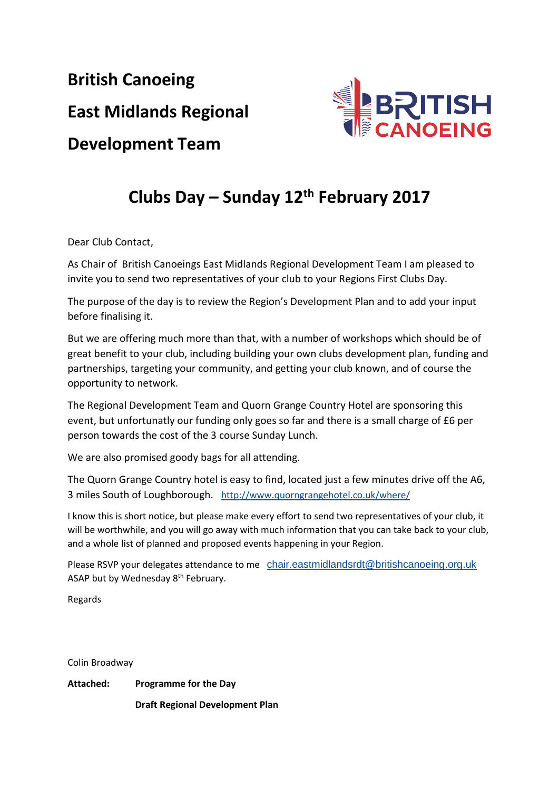**British Canoeing East Midlands Regional Development Team**



## **Clubs Day – Sunday 12th February 2017**

Dear Club Contact,

As Chair of British Canoeings East Midlands Regional Development Team I am pleased to invite you to send two representatives of your club to your Regions First Clubs Day.

The purpose of the day is to review the Region's Development Plan and to add your input before finalising it.

But we are offering much more than that, with a number of workshops which should be of great benefit to your club, including building your own clubs development plan, funding and partnerships, targeting your community, and getting your club known, and of course the opportunity to network.

The Regional Development Team and Quorn Grange Country Hotel are sponsoring this event, but unfortunatly our funding only goes so far and there is a small charge of £6 per person towards the cost of the 3 course Sunday Lunch.

We are also promised goody bags for all attending.

The Quorn Grange Country hotel is easy to find, located just a few minutes drive off the A6, 3 miles South of Loughborough. <http://www.quorngrangehotel.co.uk/where/>

I know this is short notice, but please make every effort to send two representatives of your club, it will be worthwhile, and you will go away with much information that you can take back to your club, and a whole list of planned and proposed events happening in your Region.

Please RSVP your delegates attendance to me [chair.eastmidlandsrdt@britishcanoeing.org.uk](mailto:chair.eastmidlandsrdt@britishcanoeing.org.uk) ASAP but by Wednesday 8<sup>th</sup> February.

Regards

Colin Broadway

**Attached: Programme for the Day Draft Regional Development Plan**